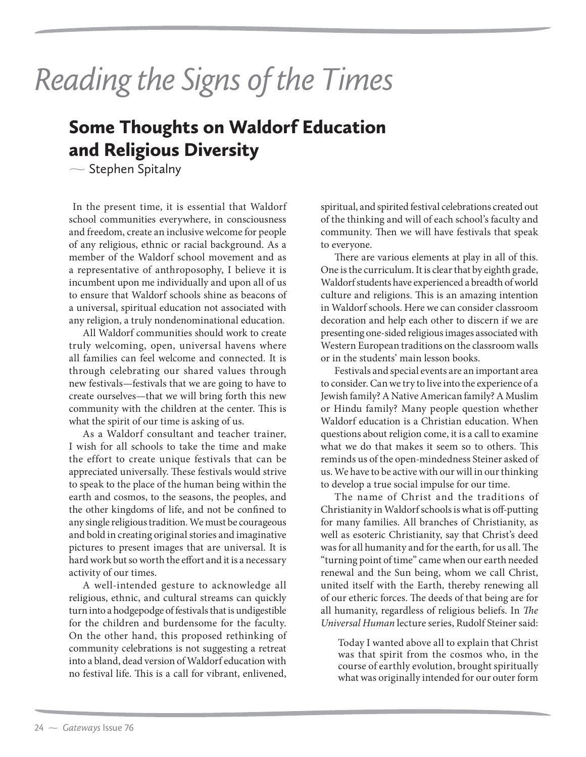## Reading the Signs of the Times

## Some Thoughts on Waldorf Education and Religious Diversity

 $\sim$  Stephen Spitalny

 In the present time, it is essential that Waldorf school communities everywhere, in consciousness and freedom, create an inclusive welcome for people of any religious, ethnic or racial background. As a member of the Waldorf school movement and as a representative of anthroposophy, I believe it is incumbent upon me individually and upon all of us to ensure that Waldorf schools shine as beacons of a universal, spiritual education not associated with any religion, a truly nondenominational education.

All Waldorf communities should work to create truly welcoming, open, universal havens where all families can feel welcome and connected. It is through celebrating our shared values through new festivals—festivals that we are going to have to create ourselves—that we will bring forth this new community with the children at the center. This is what the spirit of our time is asking of us.

As a Waldorf consultant and teacher trainer, I wish for all schools to take the time and make the effort to create unique festivals that can be appreciated universally. These festivals would strive to speak to the place of the human being within the earth and cosmos, to the seasons, the peoples, and the other kingdoms of life, and not be confined to any single religious tradition. We must be courageous and bold in creating original stories and imaginative pictures to present images that are universal. It is hard work but so worth the effort and it is a necessary activity of our times.

A well-intended gesture to acknowledge all religious, ethnic, and cultural streams can quickly turn into a hodgepodge of festivals that is undigestible for the children and burdensome for the faculty. On the other hand, this proposed rethinking of community celebrations is not suggesting a retreat into a bland, dead version of Waldorf education with no festival life. This is a call for vibrant, enlivened,

spiritual, and spirited festival celebrations created out of the thinking and will of each school's faculty and community. Then we will have festivals that speak to everyone.

There are various elements at play in all of this. One is the curriculum. It is clear that by eighth grade, Waldorf students have experienced a breadth of world culture and religions. This is an amazing intention in Waldorf schools. Here we can consider classroom decoration and help each other to discern if we are presenting one-sided religious images associated with Western European traditions on the classroom walls or in the students' main lesson books.

Festivals and special events are an important area to consider. Can we try to live into the experience of a Jewish family? A Native American family? A Muslim or Hindu family? Many people question whether Waldorf education is a Christian education. When questions about religion come, it is a call to examine what we do that makes it seem so to others. This reminds us of the open-mindedness Steiner asked of us. We have to be active with our will in our thinking to develop a true social impulse for our time.

The name of Christ and the traditions of Christianity in Waldorf schools is what is off-putting for many families. All branches of Christianity, as well as esoteric Christianity, say that Christ's deed was for all humanity and for the earth, for us all. The "turning point of time" came when our earth needed renewal and the Sun being, whom we call Christ, united itself with the Earth, thereby renewing all of our etheric forces. The deeds of that being are for all humanity, regardless of religious beliefs. In *The Universal Human* lecture series, Rudolf Steiner said:

 Today I wanted above all to explain that Christ was that spirit from the cosmos who, in the course of earthly evolution, brought spiritually what was originally intended for our outer form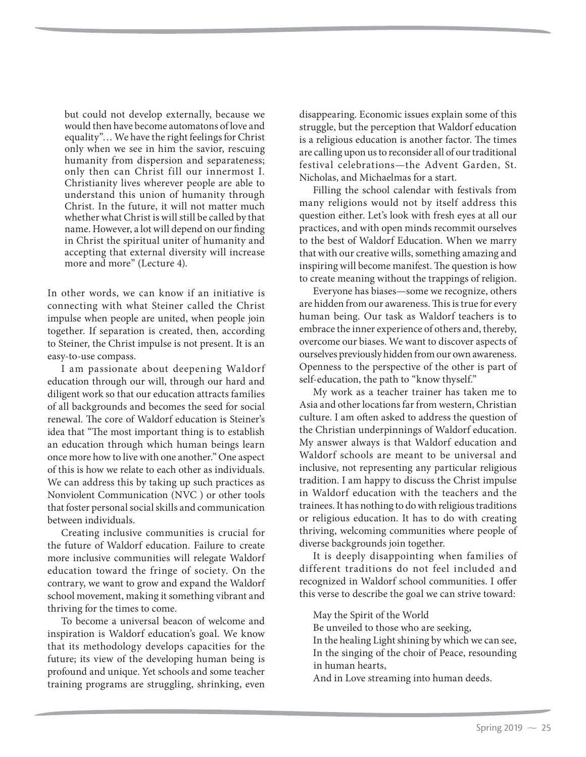but could not develop externally, because we would then have become automatons of love and equality"… We have the right feelings for Christ only when we see in him the savior, rescuing humanity from dispersion and separateness; only then can Christ fill our innermost I. Christianity lives wherever people are able to understand this union of humanity through Christ. In the future, it will not matter much whether what Christ is will still be called by that name. However, a lot will depend on our finding in Christ the spiritual uniter of humanity and accepting that external diversity will increase more and more" (Lecture 4).

In other words, we can know if an initiative is connecting with what Steiner called the Christ impulse when people are united, when people join together. If separation is created, then, according to Steiner, the Christ impulse is not present. It is an easy-to-use compass.

I am passionate about deepening Waldorf education through our will, through our hard and diligent work so that our education attracts families of all backgrounds and becomes the seed for social renewal. The core of Waldorf education is Steiner's idea that "The most important thing is to establish an education through which human beings learn once more how to live with one another." One aspect of this is how we relate to each other as individuals. We can address this by taking up such practices as Nonviolent Communication (NVC ) or other tools that foster personal social skills and communication between individuals.

Creating inclusive communities is crucial for the future of Waldorf education. Failure to create more inclusive communities will relegate Waldorf education toward the fringe of society. On the contrary, we want to grow and expand the Waldorf school movement, making it something vibrant and thriving for the times to come.

To become a universal beacon of welcome and inspiration is Waldorf education's goal. We know that its methodology develops capacities for the future; its view of the developing human being is profound and unique. Yet schools and some teacher training programs are struggling, shrinking, even disappearing. Economic issues explain some of this struggle, but the perception that Waldorf education is a religious education is another factor. The times are calling upon us to reconsider all of our traditional festival celebrations—the Advent Garden, St. Nicholas, and Michaelmas for a start.

Filling the school calendar with festivals from many religions would not by itself address this question either. Let's look with fresh eyes at all our practices, and with open minds recommit ourselves to the best of Waldorf Education. When we marry that with our creative wills, something amazing and inspiring will become manifest. The question is how to create meaning without the trappings of religion.

Everyone has biases—some we recognize, others are hidden from our awareness. This is true for every human being. Our task as Waldorf teachers is to embrace the inner experience of others and, thereby, overcome our biases. We want to discover aspects of ourselves previously hidden from our own awareness. Openness to the perspective of the other is part of self-education, the path to "know thyself."

My work as a teacher trainer has taken me to Asia and other locations far from western, Christian culture. I am often asked to address the question of the Christian underpinnings of Waldorf education. My answer always is that Waldorf education and Waldorf schools are meant to be universal and inclusive, not representing any particular religious tradition. I am happy to discuss the Christ impulse in Waldorf education with the teachers and the trainees. It has nothing to do with religious traditions or religious education. It has to do with creating thriving, welcoming communities where people of diverse backgrounds join together.

It is deeply disappointing when families of different traditions do not feel included and recognized in Waldorf school communities. I offer this verse to describe the goal we can strive toward:

May the Spirit of the World

Be unveiled to those who are seeking,

In the healing Light shining by which we can see, In the singing of the choir of Peace, resounding in human hearts,

And in Love streaming into human deeds.